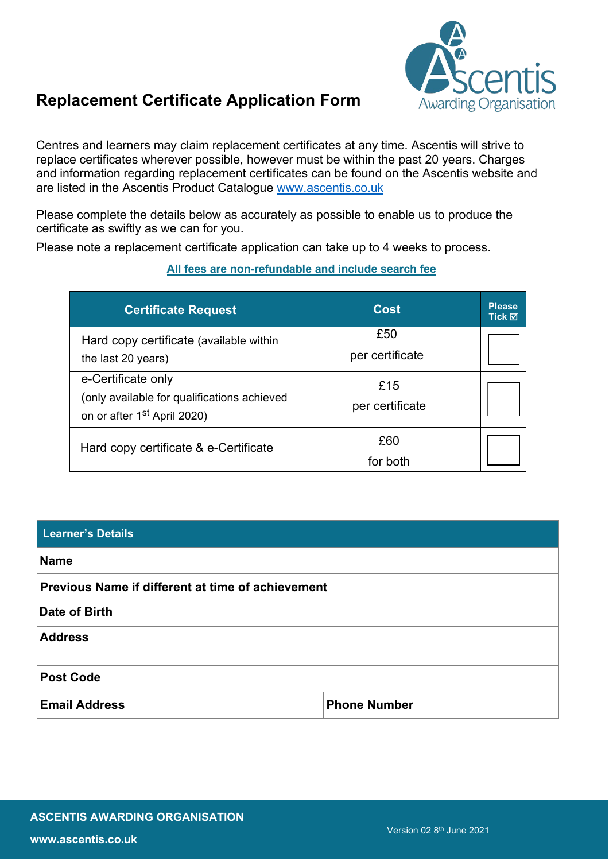

# **Replacement Certificate Application Form**

Centres and learners may claim replacement certificates at any time. Ascentis will strive to replace certificates wherever possible, however must be within the past 20 years. Charges and information regarding replacement certificates can be found on the Ascentis website and are listed in the Ascentis Product Catalogue www.ascentis.co.uk

Please complete the details below as accurately as possible to enable us to produce the certificate as swiftly as we can for you.

Please note a replacement certificate application can take up to 4 weeks to process.

## **All fees are non-refundable and include search fee**

| <b>Certificate Request</b>                                                                                   | <b>Cost</b>            | <b>Please</b><br>Tick ⊠ |
|--------------------------------------------------------------------------------------------------------------|------------------------|-------------------------|
| Hard copy certificate (available within<br>the last 20 years)                                                | £50<br>per certificate |                         |
| e-Certificate only<br>(only available for qualifications achieved<br>on or after 1 <sup>st</sup> April 2020) | £15<br>per certificate |                         |
| Hard copy certificate & e-Certificate                                                                        | £60<br>for both        |                         |

| <b>Learner's Details</b>                          |                     |  |  |
|---------------------------------------------------|---------------------|--|--|
| <b>Name</b>                                       |                     |  |  |
| Previous Name if different at time of achievement |                     |  |  |
| Date of Birth                                     |                     |  |  |
| <b>Address</b>                                    |                     |  |  |
| <b>Post Code</b>                                  |                     |  |  |
| <b>Email Address</b>                              | <b>Phone Number</b> |  |  |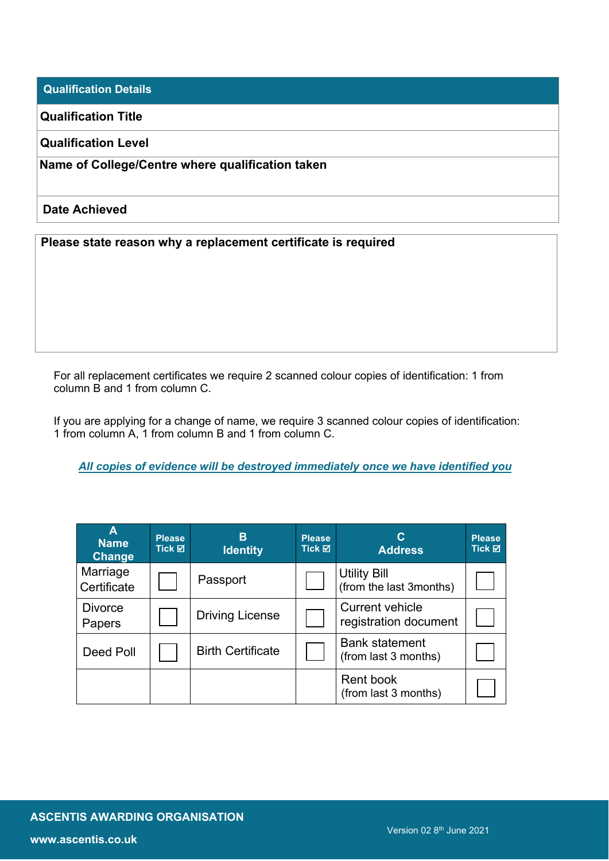**Qualification Details**

**Qualification Title**

**Qualification Level**

**Name of College/Centre where qualification taken**

#### **Date Achieved**

**Please state reason why a replacement certificate is required**

For all replacement certificates we require 2 scanned colour copies of identification: 1 from column B and 1 from column C.

If you are applying for a change of name, we require 3 scanned colour copies of identification: 1 from column A, 1 from column B and 1 from column C.

*All copies of evidence will be destroyed immediately once we have identified you*

| A<br><b>Name</b><br><b>Change</b> | <b>Please</b><br>Tick ⊠ | B<br><b>Identity</b>     | <b>Please</b><br>Tick ⊠ | С<br><b>Address</b>                             | <b>Please</b><br>Tick ⊠ |
|-----------------------------------|-------------------------|--------------------------|-------------------------|-------------------------------------------------|-------------------------|
| Marriage<br>Certificate           |                         | Passport                 |                         | <b>Utility Bill</b><br>(from the last 3months)  |                         |
| <b>Divorce</b><br>Papers          |                         | <b>Driving License</b>   |                         | <b>Current vehicle</b><br>registration document |                         |
| <b>Deed Poll</b>                  |                         | <b>Birth Certificate</b> |                         | <b>Bank statement</b><br>(from last 3 months)   |                         |
|                                   |                         |                          |                         | <b>Rent book</b><br>(from last 3 months)        |                         |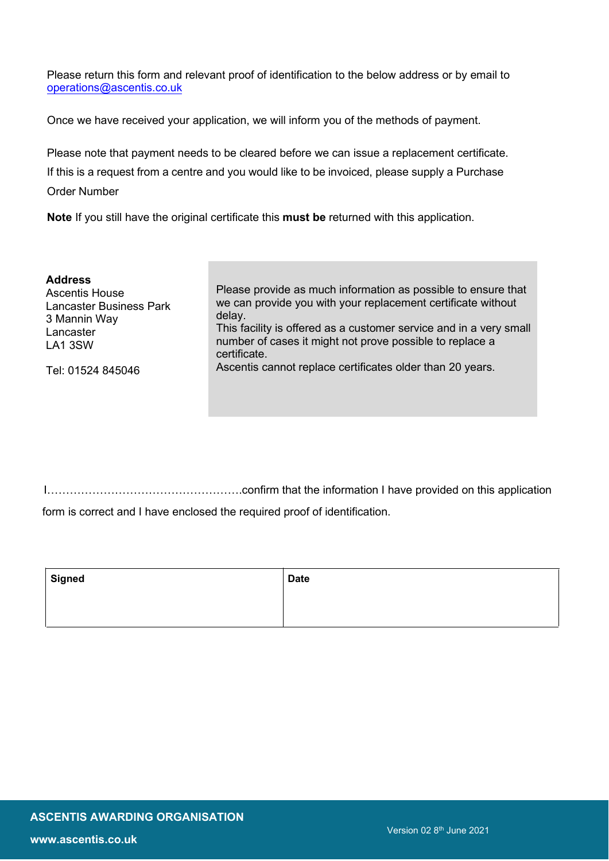Please return this form and relevant proof of identification to the below address or by email to operations@ascentis.co.uk

Once we have received your application, we will inform you of the methods of payment.

Please note that payment needs to be cleared before we can issue a replacement certificate. If this is a request from a centre and you would like to be invoiced, please supply a Purchase Order Number

**Note** If you still have the original certificate this **must be** returned with this application.

| <b>Address</b>                 | Please provide as much information as possible to ensure that      |
|--------------------------------|--------------------------------------------------------------------|
| <b>Ascentis House</b>          | we can provide you with your replacement certificate without       |
| <b>Lancaster Business Park</b> | delay.                                                             |
| 3 Mannin Way                   | This facility is offered as a customer service and in a very small |
| Lancaster                      | number of cases it might not prove possible to replace a           |
| LA1 3SW                        | certificate.                                                       |
| Tel: 01524 845046              | Ascentis cannot replace certificates older than 20 years.          |

I…………………………………………….confirm that the information I have provided on this application form is correct and I have enclosed the required proof of identification.

| <b>Signed</b> | <b>Date</b> |
|---------------|-------------|
|               |             |
|               |             |